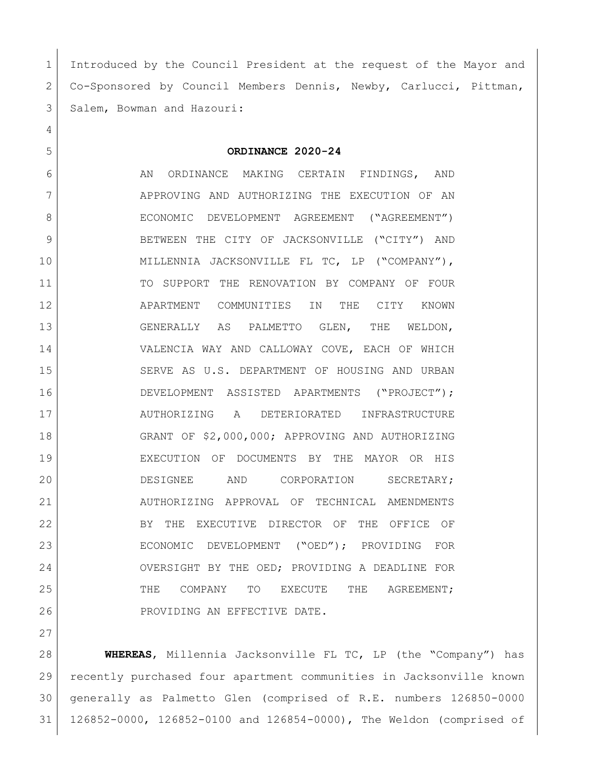Introduced by the Council President at the request of the Mayor and Co-Sponsored by Council Members Dennis, Newby, Carlucci, Pittman, 3 Salem, Bowman and Hazouri:

## **ORDINANCE 2020-24**

6 AN ORDINANCE MAKING CERTAIN FINDINGS, AND 7 | APPROVING AND AUTHORIZING THE EXECUTION OF AN 8 | ECONOMIC DEVELOPMENT AGREEMENT ("AGREEMENT") 9 BETWEEN THE CITY OF JACKSONVILLE ("CITY") AND 10 MILLENNIA JACKSONVILLE FL TC, LP ("COMPANY"), 11 TO SUPPORT THE RENOVATION BY COMPANY OF FOUR APARTMENT COMMUNITIES IN THE CITY KNOWN GENERALLY AS PALMETTO GLEN, THE WELDON, VALENCIA WAY AND CALLOWAY COVE, EACH OF WHICH SERVE AS U.S. DEPARTMENT OF HOUSING AND URBAN DEVELOPMENT ASSISTED APARTMENTS ("PROJECT"); AUTHORIZING A DETERIORATED INFRASTRUCTURE GRANT OF \$2,000,000; APPROVING AND AUTHORIZING EXECUTION OF DOCUMENTS BY THE MAYOR OR HIS DESIGNEE AND CORPORATION SECRETARY; AUTHORIZING APPROVAL OF TECHNICAL AMENDMENTS BY THE EXECUTIVE DIRECTOR OF THE OFFICE OF ECONOMIC DEVELOPMENT ("OED"); PROVIDING FOR OVERSIGHT BY THE OED; PROVIDING A DEADLINE FOR 25 THE COMPANY TO EXECUTE THE AGREEMENT; 26 PROVIDING AN EFFECTIVE DATE.

 **WHEREAS**, Millennia Jacksonville FL TC, LP (the "Company") has recently purchased four apartment communities in Jacksonville known generally as Palmetto Glen (comprised of R.E. numbers 126850-0000 126852-0000, 126852-0100 and 126854-0000), The Weldon (comprised of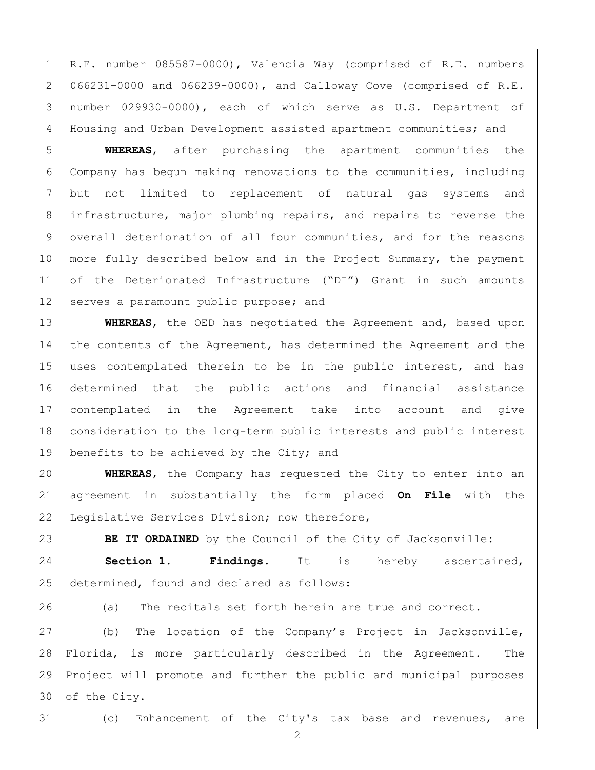R.E. number 085587-0000), Valencia Way (comprised of R.E. numbers 066231-0000 and 066239-0000), and Calloway Cove (comprised of R.E. number 029930-0000), each of which serve as U.S. Department of Housing and Urban Development assisted apartment communities; and

 **WHEREAS**, after purchasing the apartment communities the Company has begun making renovations to the communities, including but not limited to replacement of natural gas systems and infrastructure, major plumbing repairs, and repairs to reverse the overall deterioration of all four communities, and for the reasons 10 more fully described below and in the Project Summary, the payment of the Deteriorated Infrastructure ("DI") Grant in such amounts 12 serves a paramount public purpose; and

 **WHEREAS**, the OED has negotiated the Agreement and, based upon 14 the contents of the Agreement, has determined the Agreement and the uses contemplated therein to be in the public interest, and has determined that the public actions and financial assistance contemplated in the Agreement take into account and give consideration to the long-term public interests and public interest 19 benefits to be achieved by the City; and

 **WHEREAS**, the Company has requested the City to enter into an agreement in substantially the form placed **On File** with the 22 Legislative Services Division; now therefore,

**BE IT ORDAINED** by the Council of the City of Jacksonville:

 **Section 1. Findings.** It is hereby ascertained, 25 determined, found and declared as follows:

(a) The recitals set forth herein are true and correct.

 (b) The location of the Company's Project in Jacksonville, Florida, is more particularly described in the Agreement. The Project will promote and further the public and municipal purposes of the City.

(c) Enhancement of the City's tax base and revenues, are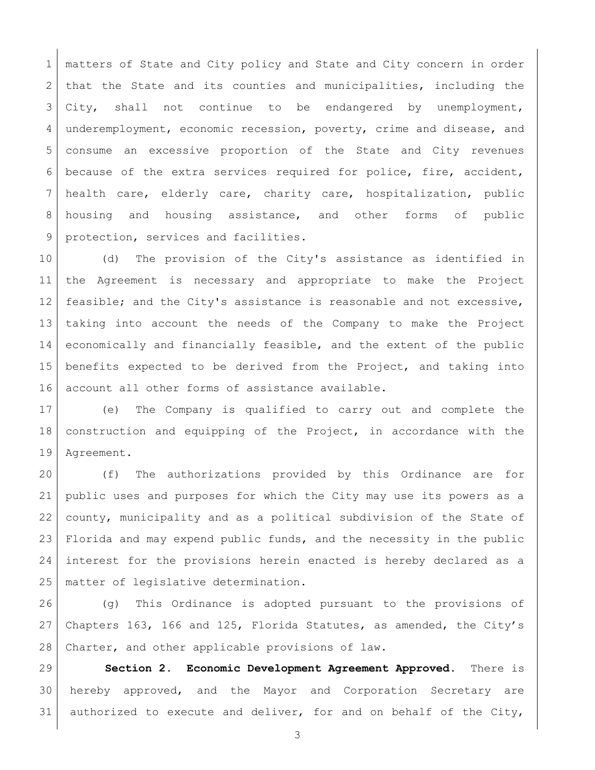matters of State and City policy and State and City concern in order 2 that the State and its counties and municipalities, including the City, shall not continue to be endangered by unemployment, underemployment, economic recession, poverty, crime and disease, and consume an excessive proportion of the State and City revenues because of the extra services required for police, fire, accident, health care, elderly care, charity care, hospitalization, public housing and housing assistance, and other forms of public 9 protection, services and facilities.

 (d) The provision of the City's assistance as identified in the Agreement is necessary and appropriate to make the Project feasible; and the City's assistance is reasonable and not excessive, taking into account the needs of the Company to make the Project economically and financially feasible, and the extent of the public benefits expected to be derived from the Project, and taking into account all other forms of assistance available.

 (e) The Company is qualified to carry out and complete the construction and equipping of the Project, in accordance with the Agreement.

 (f) The authorizations provided by this Ordinance are for public uses and purposes for which the City may use its powers as a county, municipality and as a political subdivision of the State of Florida and may expend public funds, and the necessity in the public interest for the provisions herein enacted is hereby declared as a matter of legislative determination.

26 (g) This Ordinance is adopted pursuant to the provisions of Chapters 163, 166 and 125, Florida Statutes, as amended, the City's 28 Charter, and other applicable provisions of law.

 **Section 2. Economic Development Agreement Approved**. There is hereby approved, and the Mayor and Corporation Secretary are 31 authorized to execute and deliver, for and on behalf of the City,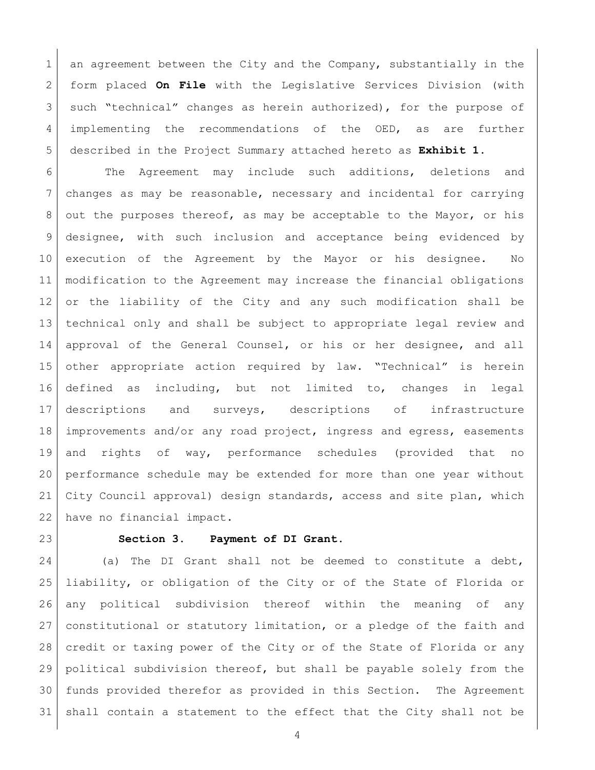1 an agreement between the City and the Company, substantially in the form placed **On File** with the Legislative Services Division (with 3 such "technical" changes as herein authorized), for the purpose of 4 implementing the recommendations of the OED, as are further described in the Project Summary attached hereto as **Exhibit 1**.

6 | The Agreement may include such additions, deletions and changes as may be reasonable, necessary and incidental for carrying 8 out the purposes thereof, as may be acceptable to the Mayor, or his designee, with such inclusion and acceptance being evidenced by execution of the Agreement by the Mayor or his designee. No modification to the Agreement may increase the financial obligations or the liability of the City and any such modification shall be technical only and shall be subject to appropriate legal review and approval of the General Counsel, or his or her designee, and all other appropriate action required by law. "Technical" is herein defined as including, but not limited to, changes in legal descriptions and surveys, descriptions of infrastructure improvements and/or any road project, ingress and egress, easements and rights of way, performance schedules (provided that no performance schedule may be extended for more than one year without City Council approval) design standards, access and site plan, which have no financial impact.

## **Section 3. Payment of DI Grant.**

24 (a) The DI Grant shall not be deemed to constitute a debt, liability, or obligation of the City or of the State of Florida or any political subdivision thereof within the meaning of any constitutional or statutory limitation, or a pledge of the faith and credit or taxing power of the City or of the State of Florida or any political subdivision thereof, but shall be payable solely from the funds provided therefor as provided in this Section. The Agreement shall contain a statement to the effect that the City shall not be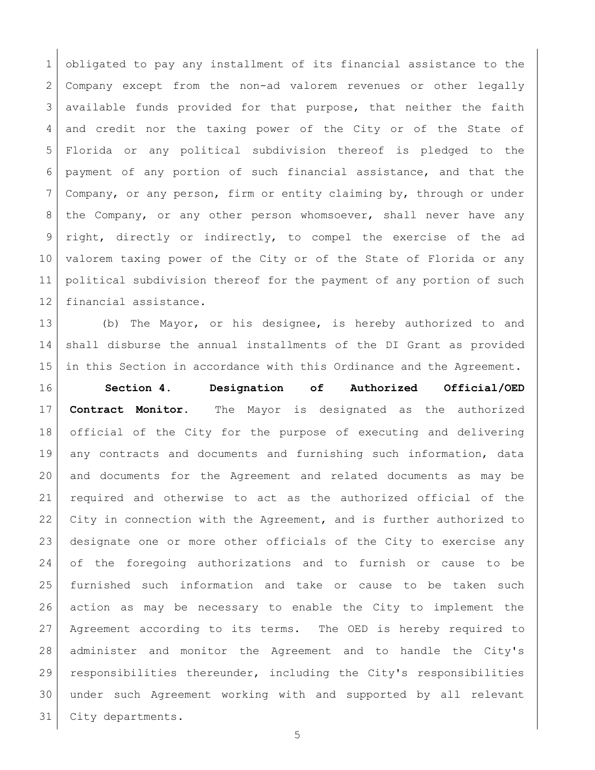obligated to pay any installment of its financial assistance to the Company except from the non-ad valorem revenues or other legally available funds provided for that purpose, that neither the faith and credit nor the taxing power of the City or of the State of Florida or any political subdivision thereof is pledged to the payment of any portion of such financial assistance, and that the Company, or any person, firm or entity claiming by, through or under 8 | the Company, or any other person whomsoever, shall never have any 9 right, directly or indirectly, to compel the exercise of the ad valorem taxing power of the City or of the State of Florida or any political subdivision thereof for the payment of any portion of such financial assistance.

 (b) The Mayor, or his designee, is hereby authorized to and shall disburse the annual installments of the DI Grant as provided in this Section in accordance with this Ordinance and the Agreement.

 **Section 4. Designation of Authorized Official/OED Contract Monitor.** The Mayor is designated as the authorized official of the City for the purpose of executing and delivering any contracts and documents and furnishing such information, data and documents for the Agreement and related documents as may be required and otherwise to act as the authorized official of the City in connection with the Agreement, and is further authorized to designate one or more other officials of the City to exercise any of the foregoing authorizations and to furnish or cause to be furnished such information and take or cause to be taken such action as may be necessary to enable the City to implement the Agreement according to its terms. The OED is hereby required to administer and monitor the Agreement and to handle the City's responsibilities thereunder, including the City's responsibilities under such Agreement working with and supported by all relevant City departments.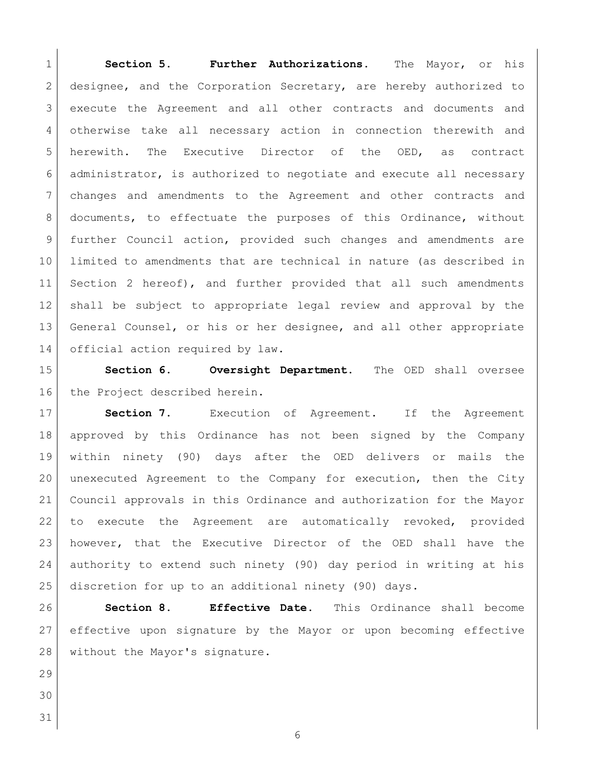**Section 5. Further Authorizations.** The Mayor, or his designee, and the Corporation Secretary, are hereby authorized to execute the Agreement and all other contracts and documents and otherwise take all necessary action in connection therewith and herewith. The Executive Director of the OED, as contract administrator, is authorized to negotiate and execute all necessary changes and amendments to the Agreement and other contracts and documents, to effectuate the purposes of this Ordinance, without further Council action, provided such changes and amendments are limited to amendments that are technical in nature (as described in Section 2 hereof), and further provided that all such amendments shall be subject to appropriate legal review and approval by the 13 General Counsel, or his or her designee, and all other appropriate 14 official action required by law.

 **Section 6. Oversight Department.** The OED shall oversee 16 the Project described herein.

**Section 7.** Execution of Agreement. If the Agreement approved by this Ordinance has not been signed by the Company within ninety (90) days after the OED delivers or mails the unexecuted Agreement to the Company for execution, then the City Council approvals in this Ordinance and authorization for the Mayor to execute the Agreement are automatically revoked, provided however, that the Executive Director of the OED shall have the authority to extend such ninety (90) day period in writing at his discretion for up to an additional ninety (90) days.

 **Section 8. Effective Date.** This Ordinance shall become effective upon signature by the Mayor or upon becoming effective without the Mayor's signature.